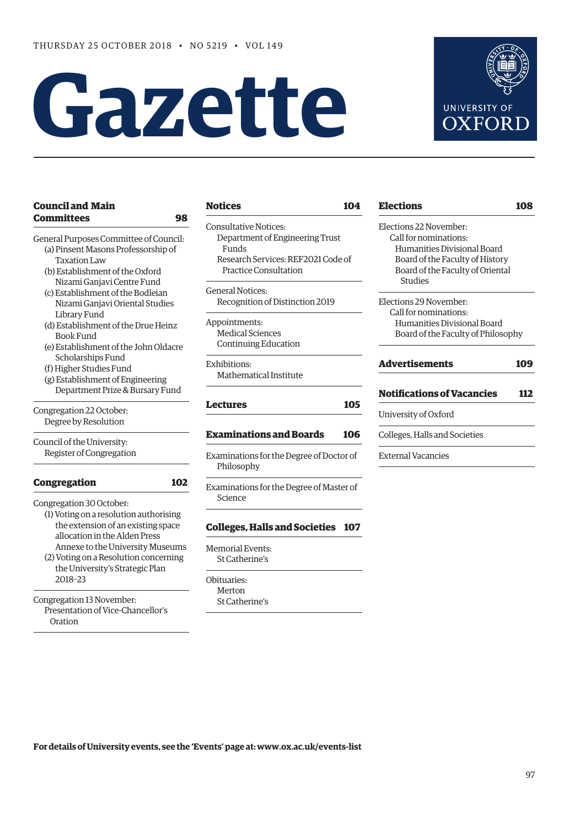# **Gazette**



# **Council and Main [Committees 98](#page-1-0)**

- General Purposes Committee of Council: (a) Pinsent Masons Professorship of Taxation Law
	- (b) Establishment of the Oxford Nizami Ganjavi Centre Fund
	- (c) Establishment of the Bodleian Nizami Ganjavi Oriental Studies Library Fund
	- (d) Establishment of the Drue Heinz Book Fund
	- (e) Establishment of the John Oldacre Scholarships Fund
	- (f) Higher Studies Fund
	- (g) Establishment of Engineering Department Prize & Bursary Fund

Congregation 22 October: Degree by Resolution

Council of the University: Register of Congregation

# **[Congregation 102](#page-5-0)**

2018–23

Congregation 30 October:

(1) Voting on a resolution authorising the extension of an existing space allocation in the Alden Press Annexe to the University Museums (2) Voting on a Resolution concerning the University's Strategic Plan

Congregation 13 November: Presentation of Vice-Chancellor's Oration

# **[Notices 104](#page-7-0)**

Consultative Notices: Department of Engineering Trust Funds Research Services: REF2021 Code of Practice Consultation

General Notices: Recognition of Distinction 2019

Appointments: Medical Sciences Continuing Education

Exhibitions: Mathematical Institute

# **[Lectures 105](#page-8-0)**

# **[Examinations and Boards 106](#page-9-0)**

Examinations for the Degree of Doctor of Philosophy

Examinations for the Degree of Master of Science

# **[Colleges, Halls and Societies 107](#page-10-0)**

Memorial Events: St Catherine's

Obituaries: Merton St Catherine's

# **[Elections 108](#page-11-0)** Elections 22 November: Call for nominations: Humanities Divisional Board Board of the Faculty of History Board of the Faculty of Oriental Studies Elections 29 November: Call for nominations: Humanities Divisional Board Board of the Faculty of Philosophy **[Advertisements 109](#page-12-0) [Notifications of Vacancies 112](#page-15-0)** University of Oxford Colleges, Halls and Societies External Vacancies

**For details of University events, see the 'Events' page at: [www.ox.ac.uk/events-list](http://www.ox.ac.uk/events-list)**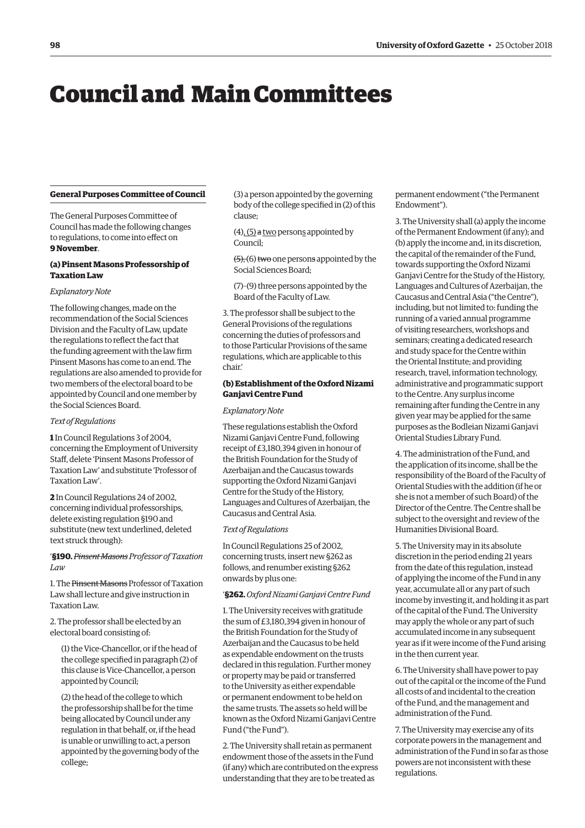# <span id="page-1-0"></span>Council and Main Committees

# **General Purposes Committee of Council**

The General Purposes Committee of Council has made the following changes to regulations, to come into effect on **9 November**.

# **(a) Pinsent Masons Professorship of Taxation Law**

## *Explanatory Note*

The following changes, made on the recommendation of the Social Sciences Division and the Faculty of Law, update the regulations to reflect the fact that the funding agreement with the law firm Pinsent Masons has come to an end. The regulations are also amended to provide for two members of the electoral board to be appointed by Council and one member by the Social Sciences Board.

## *Text of Regulations*

**1** In Council Regulations 3 of 2004, concerning the Employment of University Staff, delete 'Pinsent Masons Professor of Taxation Law' and substitute 'Professor of Taxation Law'.

**2** In Council Regulations 24 of 2002, concerning individual professorships, delete existing regulation §190 and substitute (new text underlined, deleted text struck through):

# '**§190.** *Pinsent Masons Professor of Taxation Law*

1. The Pinsent Masons Professor of Taxation Law shall lecture and give instruction in Taxation Law.

2. The professor shall be elected by an electoral board consisting of:

(1) the Vice-Chancellor, or if the head of the college specified in paragraph (2) of this clause is Vice-Chancellor, a person appointed by Council;

(2) the head of the college to which the professorship shall be for the time being allocated by Council under any regulation in that behalf, or, if the head is unable or unwilling to act, a person appointed by the governing body of the college;

(3) a person appointed by the governing body of the college specified in (2) of this clause;

(4), (5) a two persons appointed by Council;

 $(5)$ ,  $(6)$  two one persons appointed by the Social Sciences Board;

(7)–(9) three persons appointed by the Board of the Faculty of Law.

3. The professor shall be subject to the General Provisions of the regulations concerning the duties of professors and to those Particular Provisions of the same regulations, which are applicable to this chair.'

# **(b) Establishment of the Oxford Nizami Ganjavi Centre Fund**

#### *Explanatory Note*

These regulations establish the Oxford Nizami Ganjavi Centre Fund, following receipt of £3,180,394 given in honour of the British Foundation for the Study of Azerbaijan and the Caucasus towards supporting the Oxford Nizami Ganjavi Centre for the Study of the History, Languages and Cultures of Azerbaijan, the Caucasus and Central Asia.

## *Text of Regulations*

In Council Regulations 25 of 2002, concerning trusts, insert new §262 as follows, and renumber existing §262 onwards by plus one:

'**§262.** *Oxford Nizami Ganjavi Centre Fund*

1. The University receives with gratitude the sum of £3,180,394 given in honour of the British Foundation for the Study of Azerbaijan and the Caucasus to be held as expendable endowment on the trusts declared in this regulation. Further money or property may be paid or transferred to the University as either expendable or permanent endowment to be held on the same trusts. The assets so held will be known as the Oxford Nizami Ganjavi Centre Fund ("the Fund").

2. The University shall retain as permanent endowment those of the assets in the Fund (if any) which are contributed on the express understanding that they are to be treated as

permanent endowment ("the Permanent Endowment").

3. The University shall (a) apply the income of the Permanent Endowment (if any); and (b) apply the income and, in its discretion, the capital of the remainder of the Fund, towards supporting the Oxford Nizami Ganjavi Centre for the Study of the History, Languages and Cultures of Azerbaijan, the Caucasus and Central Asia ("the Centre"), including, but not limited to: funding the running of a varied annual programme of visiting researchers, workshops and seminars; creating a dedicated research and study space for the Centre within the Oriental Institute; and providing research, travel, information technology, administrative and programmatic support to the Centre. Any surplus income remaining after funding the Centre in any given year may be applied for the same purposes as the Bodleian Nizami Ganjavi Oriental Studies Library Fund.

4. The administration of the Fund, and the application of its income, shall be the responsibility of the Board of the Faculty of Oriental Studies with the addition (if he or she is not a member of such Board) of the Director of the Centre. The Centre shall be subject to the oversight and review of the Humanities Divisional Board.

5. The University may in its absolute discretion in the period ending 21 years from the date of this regulation, instead of applying the income of the Fund in any year, accumulate all or any part of such income by investing it, and holding it as part of the capital of the Fund. The University may apply the whole or any part of such accumulated income in any subsequent year as if it were income of the Fund arising in the then current year.

6. The University shall have power to pay out of the capital or the income of the Fund all costs of and incidental to the creation of the Fund, and the management and administration of the Fund.

7. The University may exercise any of its corporate powers in the management and administration of the Fund in so far as those powers are not inconsistent with these regulations.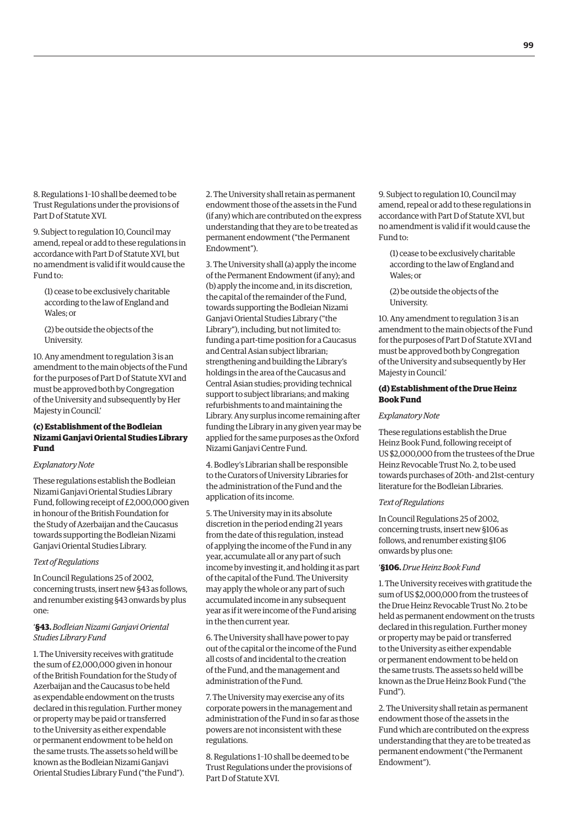8. Regulations 1–10 shall be deemed to be Trust Regulations under the provisions of Part D of Statute XVI.

9. Subject to regulation 10, Council may amend, repeal or add to these regulations in accordance with Part D of Statute XVI, but no amendment is valid if it would cause the Fund to:

(1) cease to be exclusively charitable according to the law of England and Wales; or

(2) be outside the objects of the University.

10. Any amendment to regulation 3 is an amendment to the main objects of the Fund for the purposes of Part D of Statute XVI and must be approved both by Congregation of the University and subsequently by Her Majesty in Council.'

# **(c) Establishment of the Bodleian Nizami Ganjavi Oriental Studies Library Fund**

## *Explanatory Note*

These regulations establish the Bodleian Nizami Ganjavi Oriental Studies Library Fund, following receipt of £2,000,000 given in honour of the British Foundation for the Study of Azerbaijan and the Caucasus towards supporting the Bodleian Nizami Ganjavi Oriental Studies Library.

## *Text of Regulations*

In Council Regulations 25 of 2002, concerning trusts, insert new §43 as follows, and renumber existing §43 onwards by plus one:

# '**§43.** *Bodleian Nizami Ganjavi Oriental Studies Library Fund*

1. The University receives with gratitude the sum of £2,000,000 given in honour of the British Foundation for the Study of Azerbaijan and the Caucasus to be held as expendable endowment on the trusts declared in this regulation. Further money or property may be paid or transferred to the University as either expendable or permanent endowment to be held on the same trusts. The assets so held will be known as the Bodleian Nizami Ganjavi Oriental Studies Library Fund ("the Fund"). 2. The University shall retain as permanent endowment those of the assets in the Fund (if any) which are contributed on the express understanding that they are to be treated as permanent endowment ("the Permanent Endowment").

3. The University shall (a) apply the income of the Permanent Endowment (if any); and (b) apply the income and, in its discretion, the capital of the remainder of the Fund, towards supporting the Bodleian Nizami Ganjavi Oriental Studies Library ("the Library"), including, but not limited to: funding a part-time position for a Caucasus and Central Asian subject librarian; strengthening and building the Library's holdings in the area of the Caucasus and Central Asian studies; providing technical support to subject librarians; and making refurbishments to and maintaining the Library. Any surplus income remaining after funding the Library in any given year may be applied for the same purposes as the Oxford Nizami Ganjavi Centre Fund.

4. Bodley's Librarian shall be responsible to the Curators of University Libraries for the administration of the Fund and the application of its income.

5. The University may in its absolute discretion in the period ending 21 years from the date of this regulation, instead of applying the income of the Fund in any year, accumulate all or any part of such income by investing it, and holding it as part of the capital of the Fund. The University may apply the whole or any part of such accumulated income in any subsequent year as if it were income of the Fund arising in the then current year.

6. The University shall have power to pay out of the capital or the income of the Fund all costs of and incidental to the creation of the Fund, and the management and administration of the Fund.

7. The University may exercise any of its corporate powers in the management and administration of the Fund in so far as those powers are not inconsistent with these regulations.

8. Regulations 1–10 shall be deemed to be Trust Regulations under the provisions of Part D of Statute XVI.

9. Subject to regulation 10, Council may amend, repeal or add to these regulations in accordance with Part D of Statute XVI, but no amendment is valid if it would cause the Fund to:

(1) cease to be exclusively charitable according to the law of England and Wales; or

(2) be outside the objects of the University.

10. Any amendment to regulation 3 is an amendment to the main objects of the Fund for the purposes of Part D of Statute XVI and must be approved both by Congregation of the University and subsequently by Her Majesty in Council.'

# **(d) Establishment of the Drue Heinz Book Fund**

# *Explanatory Note*

These regulations establish the Drue Heinz Book Fund, following receipt of US \$2,000,000 from the trustees of the Drue Heinz Revocable Trust No. 2, to be used towards purchases of 20th- and 21st-century literature for the Bodleian Libraries.

# *Text of Regulations*

In Council Regulations 25 of 2002, concerning trusts, insert new §106 as follows, and renumber existing §106 onwards by plus one:

## '**§106.** *Drue Heinz Book Fund*

1. The University receives with gratitude the sum of US \$2,000,000 from the trustees of the Drue Heinz Revocable Trust No. 2 to be held as permanent endowment on the trusts declared in this regulation. Further money or property may be paid or transferred to the University as either expendable or permanent endowment to be held on the same trusts. The assets so held will be known as the Drue Heinz Book Fund ("the Fund").

2. The University shall retain as permanent endowment those of the assets in the Fund which are contributed on the express understanding that they are to be treated as permanent endowment ("the Permanent Endowment").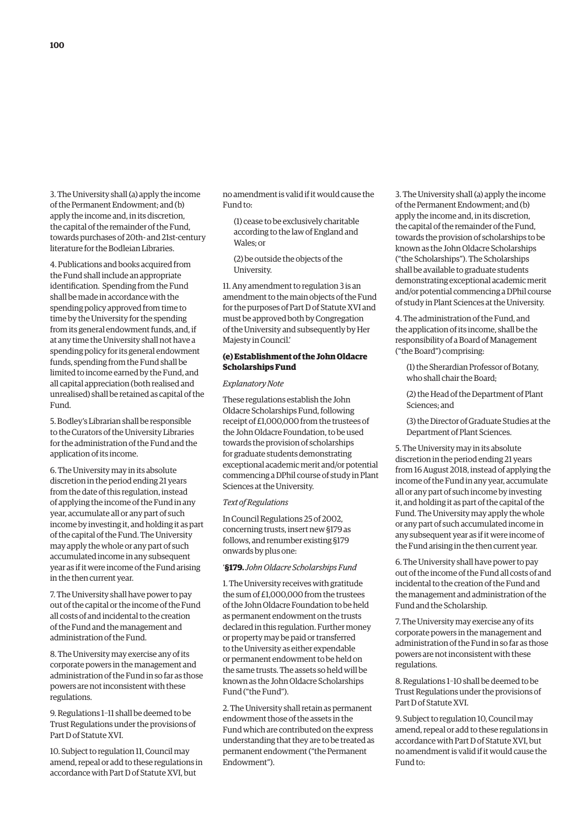3. The University shall (a) apply the income of the Permanent Endowment; and (b) apply the income and, in its discretion, the capital of the remainder of the Fund, towards purchases of 20th- and 21st-century literature for the Bodleian Libraries.

4. Publications and books acquired from the Fund shall include an appropriate identification. Spending from the Fund shall be made in accordance with the spending policy approved from time to time by the University for the spending from its general endowment funds, and, if at any time the University shall not have a spending policy for its general endowment funds, spending from the Fund shall be limited to income earned by the Fund, and all capital appreciation (both realised and unrealised) shall be retained as capital of the Fund.

5. Bodley's Librarian shall be responsible to the Curators of the University Libraries for the administration of the Fund and the application of its income.

6. The University may in its absolute discretion in the period ending 21 years from the date of this regulation, instead of applying the income of the Fund in any year, accumulate all or any part of such income by investing it, and holding it as part of the capital of the Fund. The University may apply the whole or any part of such accumulated income in any subsequent year as if it were income of the Fund arising in the then current year.

7. The University shall have power to pay out of the capital or the income of the Fund all costs of and incidental to the creation of the Fund and the management and administration of the Fund.

8. The University may exercise any of its corporate powers in the management and administration of the Fund in so far as those powers are not inconsistent with these regulations.

9. Regulations 1–11 shall be deemed to be Trust Regulations under the provisions of Part D of Statute XVI.

10. Subject to regulation 11, Council may amend, repeal or add to these regulations in accordance with Part D of Statute XVI, but

no amendment is valid if it would cause the Fund to:

- (1) cease to be exclusively charitable according to the law of England and Wales; or
- (2) be outside the objects of the University.

11. Any amendment to regulation 3 is an amendment to the main objects of the Fund for the purposes of Part D of Statute XVI and must be approved both by Congregation of the University and subsequently by Her Majesty in Council.'

# **(e) Establishment of the John Oldacre Scholarships Fund**

# *Explanatory Note*

These regulations establish the John Oldacre Scholarships Fund, following receipt of £1,000,000 from the trustees of the John Oldacre Foundation, to be used towards the provision of scholarships for graduate students demonstrating exceptional academic merit and/or potential commencing a DPhil course of study in Plant Sciences at the University.

## *Text of Regulations*

In Council Regulations 25 of 2002, concerning trusts, insert new §179 as follows, and renumber existing §179 onwards by plus one:

# '**§179.** *John Oldacre Scholarships Fund*

1. The University receives with gratitude the sum of  $f1,000,000$  from the trustees of the John Oldacre Foundation to be held as permanent endowment on the trusts declared in this regulation. Further money or property may be paid or transferred to the University as either expendable or permanent endowment to be held on the same trusts. The assets so held will be known as the John Oldacre Scholarships Fund ("the Fund").

2. The University shall retain as permanent endowment those of the assets in the Fund which are contributed on the express understanding that they are to be treated as permanent endowment ("the Permanent Endowment").

3. The University shall (a) apply the income of the Permanent Endowment; and (b) apply the income and, in its discretion, the capital of the remainder of the Fund, towards the provision of scholarships to be known as the John Oldacre Scholarships ("the Scholarships"). The Scholarships shall be available to graduate students demonstrating exceptional academic merit and/or potential commencing a DPhil course of study in Plant Sciences at the University.

4. The administration of the Fund, and the application of its income, shall be the responsibility of a Board of Management ("the Board") comprising:

- (1) the Sherardian Professor of Botany, who shall chair the Board;
- (2) the Head of the Department of Plant Sciences; and

(3) the Director of Graduate Studies at the Department of Plant Sciences.

5. The University may in its absolute discretion in the period ending 21 years from 16 August 2018, instead of applying the income of the Fund in any year, accumulate all or any part of such income by investing it, and holding it as part of the capital of the Fund. The University may apply the whole or any part of such accumulated income in any subsequent year as if it were income of the Fund arising in the then current year.

6. The University shall have power to pay out of the income of the Fund all costs of and incidental to the creation of the Fund and the management and administration of the Fund and the Scholarship.

7. The University may exercise any of its corporate powers in the management and administration of the Fund in so far as those powers are not inconsistent with these regulations.

8. Regulations 1–10 shall be deemed to be Trust Regulations under the provisions of Part D of Statute XVI.

9. Subject to regulation 10, Council may amend, repeal or add to these regulations in accordance with Part D of Statute XVI, but no amendment is valid if it would cause the Fund to: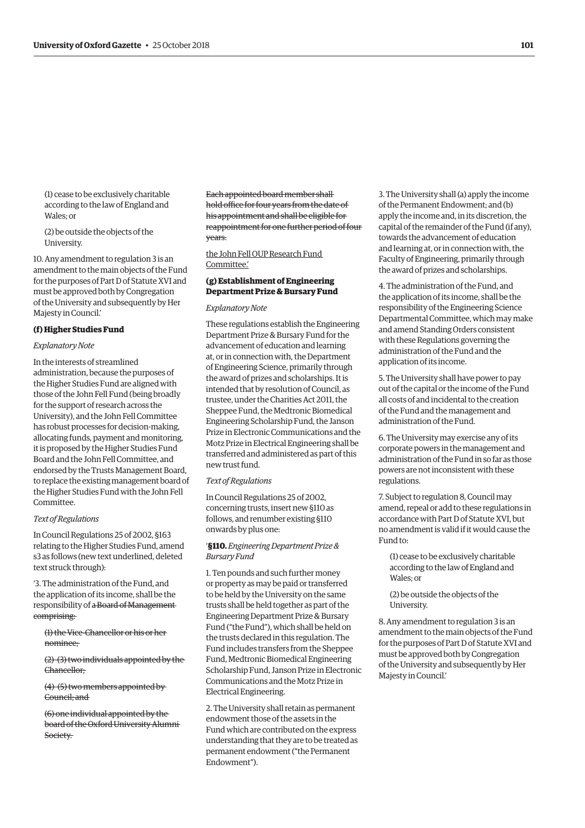(1) cease to be exclusively charitable according to the law of England and Wales; or

(2) be outside the objects of the University.

10. Any amendment to regulation 3 is an amendment to the main objects of the Fund for the purposes of Part D of Statute XVI and must be approved both by Congregation of the University and subsequently by Her Majesty in Council.'

#### **(f) Higher Studies Fund**

#### *Explanatory Note*

In the interests of streamlined administration, because the purposes of the Higher Studies Fund are aligned with those of the John Fell Fund (being broadly for the support of research across the University), and the John Fell Committee has robust processes for decision-making, allocating funds, payment and monitoring, it is proposed by the Higher Studies Fund Board and the John Fell Committee, and endorsed by the Trusts Management Board, to replace the existing management board of the Higher Studies Fund with the John Fell Committee.

#### *Text of Regulations*

In Council Regulations 25 of 2002, §163 relating to the Higher Studies Fund, amend s3 as follows (new text underlined, deleted text struck through):

'3. The administration of the Fund, and the application of its income, shall be the responsibility of a Board of Management comprising:

(1) the Vice-Chancellor or his or her nominee;

(2)–(3) two individuals appointed by the Chancellor;

(4)–(5) two members appointed by Council; and

(6) one individual appointed by the board of the Oxford University Alumni Society.

Each appointed board member shall hold office for four years from the date of his appointment and shall be eligible for reappointment for one further period of four years.

the John Fell OUP Research Fund Committee.'

# **(g) Establishment of Engineering Department Prize & Bursary Fund**

#### *Explanatory Note*

These regulations establish the Engineering Department Prize & Bursary Fund for the advancement of education and learning at, or in connection with, the Department of Engineering Science, primarily through the award of prizes and scholarships. It is intended that by resolution of Council, as trustee, under the Charities Act 2011, the Sheppee Fund, the Medtronic Biomedical Engineering Scholarship Fund, the Janson Prize in Electronic Communications and the Motz Prize in Electrical Engineering shall be transferred and administered as part of this new trust fund.

# *Text of Regulations*

In Council Regulations 25 of 2002, concerning trusts, insert new §110 as follows, and renumber existing §110 onwards by plus one:

# '**§110.** *Engineering Department Prize & Bursary Fund*

1. Ten pounds and such further money or property as may be paid or transferred to be held by the University on the same trusts shall be held together as part of the Engineering Department Prize & Bursary Fund ("the Fund"), which shall be held on the trusts declared in this regulation. The Fund includes transfers from the Sheppee Fund, Medtronic Biomedical Engineering Scholarship Fund, Janson Prize in Electronic Communications and the Motz Prize in Electrical Engineering.

2. The University shall retain as permanent endowment those of the assets in the Fund which are contributed on the express understanding that they are to be treated as permanent endowment ("the Permanent Endowment").

3. The University shall (a) apply the income of the Permanent Endowment; and (b) apply the income and, in its discretion, the capital of the remainder of the Fund (if any), towards the advancement of education and learning at, or in connection with, the Faculty of Engineering, primarily through the award of prizes and scholarships.

4. The administration of the Fund, and the application of its income, shall be the responsibility of the Engineering Science Departmental Committee, which may make and amend Standing Orders consistent with these Regulations governing the administration of the Fund and the application of its income.

5. The University shall have power to pay out of the capital or the income of the Fund all costs of and incidental to the creation of the Fund and the management and administration of the Fund.

6. The University may exercise any of its corporate powers in the management and administration of the Fund in so far as those powers are not inconsistent with these regulations.

7. Subject to regulation 8, Council may amend, repeal or add to these regulations in accordance with Part D of Statute XVI, but no amendment is valid if it would cause the Fund to:

(1) cease to be exclusively charitable according to the law of England and Wales; or

(2) be outside the objects of the University.

8. Any amendment to regulation 3 is an amendment to the main objects of the Fund for the purposes of Part D of Statute XVI and must be approved both by Congregation of the University and subsequently by Her Majesty in Council.'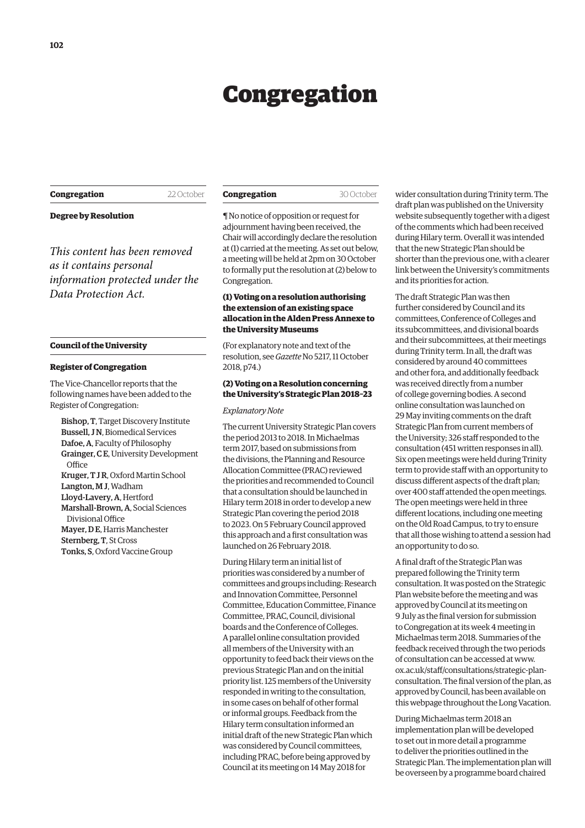# Congregation

# <span id="page-5-0"></span>**Congregation** 22 October

**Degree by Resolution**

*This content has been removed as it contains personal information protected under the Data Protection Act.*

#### **Council of the University**

#### **Register of Congregation**

The Vice-Chancellor reports that the following names have been added to the Register of Congregation:

Bishop, T, Target Discovery Institute Bussell, J N, Biomedical Services Dafoe, A, Faculty of Philosophy Grainger, C E, University Development **Office** Kruger, T J R, Oxford Martin School Langton, M J, Wadham Lloyd-Lavery, A, Hertford Marshall-Brown, A, Social Sciences Divisional Office Mayer, D E, Harris Manchester Sternberg, T, St Cross Tonks, S, Oxford Vaccine Group

¶ No notice of opposition or request for adjournment having been received, the Chair will accordingly declare the resolution at (1) carried at the meeting. As set out below, a meeting will be held at 2pm on 30 October to formally put the resolution at (2) below to Congregation.

# **(1) Voting on a resolution authorising the extension of an existing space allocation in the Alden Press Annexe to the University Museums**

(For explanatory note and text of the resolution, see *Gazette* [No 5217, 11 October](https://gazette.web.ox.ac.uk/sites/default/files/gazette/documents/media/11_october_2018_-_no_5217_redacted.pdf#page=2)  2018, p74.)

# **(2) Voting on a Resolution concerning the University's Strategic Plan 2018–23**

#### *Explanatory Note*

The current University Strategic Plan covers the period 2013 to 2018. In Michaelmas term 2017, based on submissions from the divisions, the Planning and Resource Allocation Committee (PRAC) reviewed the priorities and recommended to Council that a consultation should be launched in Hilary term 2018 in order to develop a new Strategic Plan covering the period 2018 to 2023. On 5 February Council approved this approach and a first consultation was launched on 26 February 2018.

During Hilary term an initial list of priorities was considered by a number of committees and groups including: Research and Innovation Committee, Personnel Committee, Education Committee, Finance Committee, PRAC, Council, divisional boards and the Conference of Colleges. A parallel online consultation provided all members of the University with an opportunity to feed back their views on the previous Strategic Plan and on the initial priority list. 125 members of the University responded in writing to the consultation, in some cases on behalf of other formal or informal groups. Feedback from the Hilary term consultation informed an initial draft of the new Strategic Plan which was considered by Council committees, including PRAC, before being approved by Council at its meeting on 14 May 2018 for

wider consultation during Trinity term. The draft plan was published on the University website subsequently together with a digest of the comments which had been received during Hilary term. Overall it was intended that the new Strategic Plan should be shorter than the previous one, with a clearer link between the University's commitments and its priorities for action.

The draft Strategic Plan was then further considered by Council and its committees, Conference of Colleges and its subcommittees, and divisional boards and their subcommittees, at their meetings during Trinity term. In all, the draft was considered by around 40 committees and other fora, and additionally feedback was received directly from a number of college governing bodies. A second online consultation was launched on 29 May inviting comments on the draft Strategic Plan from current members of the University; 326 staff responded to the consultation (451 written responses in all). Six open meetings were held during Trinity term to provide staff with an opportunity to discuss different aspects of the draft plan; over 400 staff attended the open meetings. The open meetings were held in three different locations, including one meeting on the Old Road Campus, to try to ensure that all those wishing to attend a session had an opportunity to do so.

A final draft of the Strategic Plan was prepared following the Trinity term consultation. It was posted on the Strategic Plan website before the meeting and was approved by Council at its meeting on 9 July as the final version for submission to Congregation at its week 4 meeting in Michaelmas term 2018. Summaries of the feedback received through the two periods of consultation can be accessed at www. ox.ac.uk/staff/consultations/strategic-plan[consultation. The final version of the plan, as](www.ox.ac.uk/staff/consultations/strategic-plan-consultation)  approved by Council, has been available on this webpage throughout the Long Vacation.

During Michaelmas term 2018 an implementation plan will be developed to set out in more detail a programme to deliver the priorities outlined in the Strategic Plan. The implementation plan will be overseen by a programme board chaired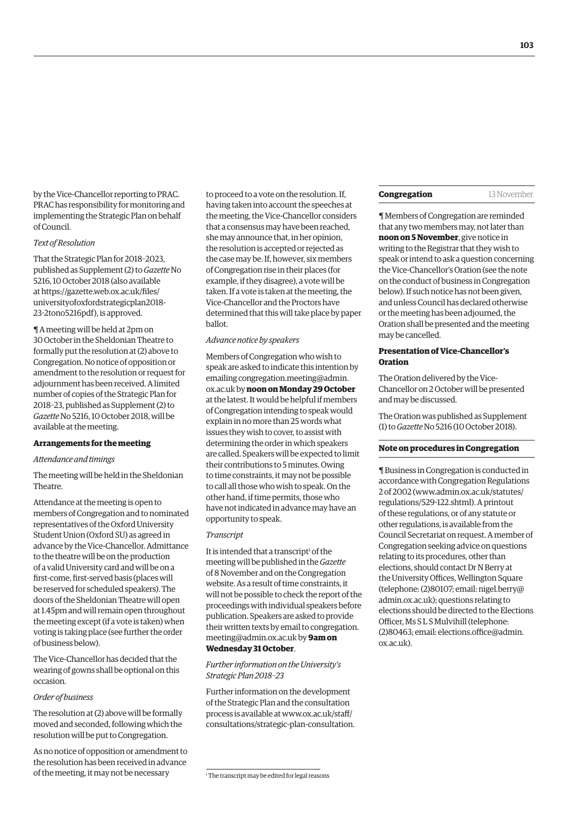by the Vice-Chancellor reporting to PRAC. PRAC has responsibility for monitoring and implementing the Strategic Plan on behalf of Council.

## *Text of Resolution*

That the Strategic Plan for 2018–2023, published as Supplement (2) to *Gazette* No 5216, 10 October 2018 (also available at https://gazette.web.ox.ac.uk/files/ [universityofoxfordstrategicplan2018-](https://gazette.web.ox.ac.uk/files/universityofoxfordstrategicplan2018-23-2tono5216pdf) 23-2tono5216pdf), is approved.

¶ A meeting will be held at 2pm on 30 October in the Sheldonian Theatre to formally put the resolution at (2) above to Congregation. No notice of opposition or amendment to the resolution or request for adjournment has been received. A limited number of copies of the Strategic Plan for [2018–23, published as Supplement \(2\) to](https://gazette.web.ox.ac.uk/files/universityofoxfordstrategicplan2018-23-2tono5216pdf)  *Gazette* No 5216, 10 October 2018, will be available at the meeting.

#### **Arrangements for the meeting**

# *Attendance and timings*

The meeting will be held in the Sheldonian Theatre.

Attendance at the meeting is open to members of Congregation and to nominated representatives of the Oxford University Student Union (Oxford SU) as agreed in advance by the Vice-Chancellor. Admittance to the theatre will be on the production of a valid University card and will be on a first-come, first-served basis (places will be reserved for scheduled speakers). The doors of the Sheldonian Theatre will open at 1.45pm and will remain open throughout the meeting except (if a vote is taken) when voting is taking place (see further the order of business below).

The Vice-Chancellor has decided that the wearing of gowns shall be optional on this occasion.

#### *Order of business*

The resolution at (2) above will be formally moved and seconded, following which the resolution will be put to Congregation.

As no notice of opposition or amendment to the resolution has been received in advance of the meeting, it may not be necessary

to proceed to a vote on the resolution. If, having taken into account the speeches at the meeting, the Vice-Chancellor considers that a consensus may have been reached, she may announce that, in her opinion, the resolution is accepted or rejected as the case may be. If, however, six members of Congregation rise in their places (for example, if they disagree), a vote will be taken. If a vote is taken at the meeting, the Vice-Chancellor and the Proctors have determined that this will take place by paper ballot.

#### *Advance notice by speakers*

Members of Congregation who wish to speak are asked to indicate this intention by [emailing congregation.meeting@admin.](mailto:congregation.meeting@admin.ox.ac.uk) ox.ac.uk by **noon on Monday 29 October** at the latest. It would be helpful if members of Congregation intending to speak would explain in no more than 25 words what issues they wish to cover, to assist with determining the order in which speakers are called. Speakers will be expected to limit their contributions to 5 minutes. Owing to time constraints, it may not be possible to call all those who wish to speak. On the other hand, if time permits, those who have not indicated in advance may have an opportunity to speak.

#### *Transcript*

It is intended that a transcript<sup>1</sup> of the meeting will be published in the *Gazette* of 8 November and on the Congregation website. As a result of time constraints, it will not be possible to check the report of the proceedings with individual speakers before publication. Speakers are asked to provide [their written texts by email to congregation.](mailto:congregation.meeting@admin.ox.ac.uk) meeting@admin.ox.ac.uk by **9am on Wednesday 31 October**.

#### *Further information on the University's Strategic Plan 2018–23*

Further information on the development of the Strategic Plan and the consultation process is available at www.ox.ac.uk/staff/ [consultations/strategic-plan-consultation.](www.ox.ac.uk/staff/consultations/strategic-plan-consultation) 

# **Congregation** 13 November

¶ Members of Congregation are reminded that any two members may, not later than **noon on 5 November**, give notice in writing to the Registrar that they wish to speak or intend to ask a question concerning the Vice-Chancellor's Oration (see the note on the conduct of business in Congregation below). If such notice has not been given, and unless Council has declared otherwise or the meeting has been adjourned, the Oration shall be presented and the meeting may be cancelled.

# **Presentation of Vice-Chancellor's Oration**

The Oration delivered by the Vice-Chancellor on 2 October will be presented and may be discussed.

[The Oration was published as Supplement](https://gazette.web.ox.ac.uk/files/vice-chancellorsoration2018-1tono5216pdf)  (1) to *Gazette* No 5216 (10 October 2018).

#### **Note on procedures in Congregation**

¶ Business in Congregation is conducted in accordance with Congregation Regulations 2 of 2002 [\(www.admin.ox.ac.uk/statutes/](http://www.admin.ox.ac.uk/statutes/regulations/529-122.shtml) [regulations/529-122.shtml\). A p](http://www.admin.ox.ac.uk/statutes/regulations/529-122.shtml)rintout of these regulations, or of any statute or other regulations, is available from the Council Secretariat on request. A member of Congregation seeking advice on questions relating to its procedures, other than elections, should contact Dr N Berry at the University Offices, Wellington Square [\(telephone: \(2\)80107; email: nigel.berry@](mailto:nigel.berry@admin.ox.ac.uk) admin.ox.ac.uk); questions relating to elections should be directed to the Elections Officer, Ms S L S Mulvihill (telephone: [\(2\)80463; email: elections.office@admin.](mailto:elections.office@admin.ox.ac.uk) ox.ac.uk).

<sup>1</sup> The transcript may be edited for legal reasons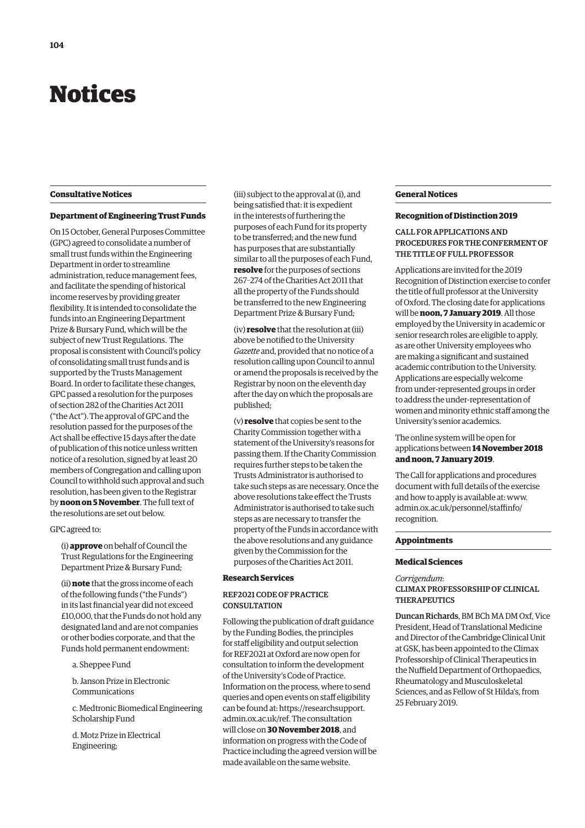# <span id="page-7-0"></span>Notices

## **Consultative Notices**

# **Department of Engineering Trust Funds**

On 15 October, General Purposes Committee (GPC) agreed to consolidate a number of small trust funds within the Engineering Department in order to streamline administration, reduce management fees, and facilitate the spending of historical income reserves by providing greater flexibility. It is intended to consolidate the funds into an Engineering Department Prize & Bursary Fund, which will be the subject of new Trust Regulations. The proposal is consistent with Council's policy of consolidating small trust funds and is supported by the Trusts Management Board. In order to facilitate these changes, GPC passed a resolution for the purposes of section 282 of the Charities Act 2011 ("the Act"). The approval of GPC and the resolution passed for the purposes of the Act shall be effective 15 days after the date of publication of this notice unless written notice of a resolution, signed by at least 20 members of Congregation and calling upon Council to withhold such approval and such resolution, has been given to the Registrar by **noon on 5 November**. The full text of the resolutions are set out below.

## GPC agreed to:

(i) **approve** on behalf of Council the Trust Regulations for the Engineering Department Prize & Bursary Fund;

(ii) **note** that the gross income of each of the following funds ("the Funds") in its last financial year did not exceed £10,000, that the Funds do not hold any designated land and are not companies or other bodies corporate, and that the Funds hold permanent endowment:

a. Sheppee Fund

b. Janson Prize in Electronic Communications

c. Medtronic Biomedical Engineering Scholarship Fund

d. Motz Prize in Electrical Engineering;

(iii) subject to the approval at (i), and being satisfied that: it is expedient in the interests of furthering the purposes of each Fund for its property to be transferred; and the new fund has purposes that are substantially similar to all the purposes of each Fund, **resolve** for the purposes of sections 267–274 of the Charities Act 2011 that all the property of the Funds should be transferred to the new Engineering Department Prize & Bursary Fund;

(iv) **resolve** that the resolution at (iii) above be notified to the University *Gazette* and, provided that no notice of a resolution calling upon Council to annul or amend the proposals is received by the Registrar by noon on the eleventh day after the day on which the proposals are published;

(v) **resolve** that copies be sent to the Charity Commission together with a statement of the University's reasons for passing them. If the Charity Commission requires further steps to be taken the Trusts Administrator is authorised to take such steps as are necessary. Once the above resolutions take effect the Trusts Administrator is authorised to take such steps as are necessary to transfer the property of the Funds in accordance with the above resolutions and any guidance given by the Commission for the purposes of the Charities Act 2011.

## **Research Services**

# REF2021 CODE OF PRACTICE **CONSULTATION**

Following the publication of draft guidance by the Funding Bodies, the principles for staff eligibility and output selection for REF2021 at Oxford are now open for consultation to inform the development of the University's Code of Practice. Information on the process, where to send queries and open events on staff eligibility can be found at: https://researchsupport. [admin.ox.ac.uk/ref. The consultation](https://researchsupport.admin.ox.ac.uk/ref)  will close on **30 November 2018**, and information on progress with the Code of Practice including the agreed version will be made available on the same website.

## **General Notices**

#### **Recognition of Distinction 2019**

# CALL FOR APPLICATIONS AND PROCEDURES FOR THE CONFERMENT OF THE TITLE OF FULL PROFESSOR

Applications are invited for the 2019 Recognition of Distinction exercise to confer the title of full professor at the University of Oxford. The closing date for applications will be **noon, 7 January 2019**. All those employed by the University in academic or senior research roles are eligible to apply, as are other University employees who are making a significant and sustained academic contribution to the University. Applications are especially welcome from under-represented groups in order to address the under-representation of women and minority ethnic staff among the University's senior academics.

The online system will be open for applications between **14 November 2018 and noon, 7 January 2019**.

The Call for applications and procedures document with full details of the exercise and how to apply is available at: www. [admin.ox.ac.uk/personnel/staffinfo/](www.admin.ox.ac.uk/personnel/staffinfo/recognition) recognition.

## **Appointments**

## **Medical Sciences**

*Corrigendum*:

CLIMAX PROFESSORSHIP OF CLINICAL **THERAPEUTICS** 

Duncan Richards, BM BCh MA DM Oxf, Vice President, Head of Translational Medicine and Director of the Cambridge Clinical Unit at GSK, has been appointed to the Climax Professorship of Clinical Therapeutics in the Nuffield Department of Orthopaedics, Rheumatology and Musculoskeletal Sciences, and as Fellow of St Hilda's, from 25 February 2019.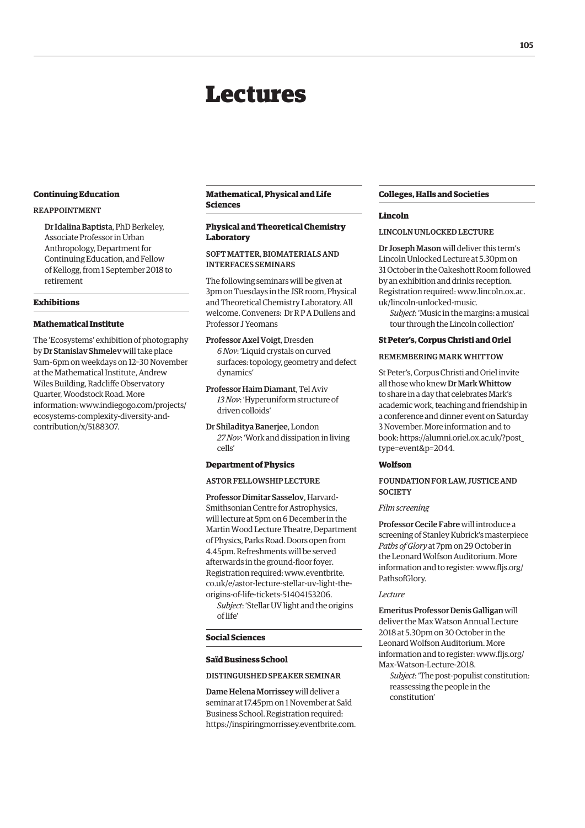# Lectures

#### <span id="page-8-0"></span>**Continuing Education**

# REAPPOINTMENT

Dr Idalina Baptista, PhD Berkeley, Associate Professor in Urban Anthropology, Department for Continuing Education, and Fellow of Kellogg, from 1 September 2018 to retirement

## **Exhibitions**

# **Mathematical Institute**

The 'Ecosystems' exhibition of photography by Dr Stanislav Shmelev will take place 9am–6pm on weekdays on 12–30 November at the Mathematical Institute, Andrew Wiles Building, Radcliffe Observatory Quarter, Woodstock Road. More [information: www.indiegogo.com/projects/](www.indiegogo.com/projects/ecosystems-complexity-diversity-and-contribution/x/5188307) ecosystems-complexity-diversity-andcontribution/x/5188307.

# **Mathematical, Physical and Life Sciences**

# **Physical and Theoretical Chemistry Laboratory**

# SOFT MATTER, BIOMATERIALS AND INTERFACES SEMINARS

The following seminars will be given at 3pm on Tuesdays in the JSR room, Physical and Theoretical Chemistry Laboratory. All welcome. Conveners: Dr R P A Dullens and Professor J Yeomans

Professor Axel Voigt, Dresden *6 Nov*: 'Liquid crystals on curved surfaces: topology, geometry and defect dynamics'

Professor Haim Diamant, Tel Aviv *13 Nov*: 'Hyperuniform structure of driven colloids'

Dr Shiladitya Banerjee, London *27 Nov*: 'Work and dissipation in living cells'

# **Department of Physics**

ASTOR FELLOWSHIP LECTURE

Professor Dimitar Sasselov, Harvard-Smithsonian Centre for Astrophysics, will lecture at 5pm on 6 December in the Martin Wood Lecture Theatre, Department of Physics, Parks Road. Doors open from 4.45pm. Refreshments will be served afterwards in the ground-floor foyer. Registration required: www.eventbrite. [co.uk/e/astor-lecture-stellar-uv-light-the](www.eventbrite.co.uk/e/astor-lecture-stellar-uv-light-the-origins-of-life-tickets-51404153206)origins-of-life-tickets-51404153206.

*Subject*: 'Stellar UV light and the origins of life'

#### **Social Sciences**

#### **Saïd Business School**

DISTINGUISHED SPEAKER SEMINAR

Dame Helena Morrissey will deliver a seminar at 17.45pm on 1 November at Saïd Business School. Registration required: [https://inspiringmorrissey.eventbrite.com.](https://inspiringmorrissey.eventbrite.com)

# **Colleges, Halls and Societies**

#### **Lincoln**

#### LINCOLN UNLOCKED LECTURE

Dr Joseph Mason will deliver this term's Lincoln Unlocked Lecture at 5.30pm on 31 October in the Oakeshott Room followed by an exhibition and drinks reception. [Registration required: www.lincoln.ox.ac.](www.lincoln.ox.ac.uk/lincoln-unlocked-music) uk/lincoln-unlocked-music.

*Subject*: 'Music in the margins: a musical tour through the Lincoln collection'

# **St Peter's, Corpus Christi and Oriel**

# REMEMBERING MARK WHITTOW

St Peter's, Corpus Christi and Oriel invite all those who knew Dr Mark Whittow to share in a day that celebrates Mark's academic work, teaching and friendship in a conference and dinner event on Saturday 3 November. More information and to [book: https://alumni.oriel.ox.ac.uk/?post\\_](https://alumni.oriel.ox.ac.uk/?post_type=event&p=2044) type=event&p=2044.

# **Wolfson**

# FOUNDATION FOR LAW, JUSTICE AND **SOCIETY**

#### *Film screening*

Professor Cecile Fabre will introduce a screening of Stanley Kubrick's masterpiece *Paths of Glory* at 7pm on 29 October in the Leonard Wolfson Auditorium. More [information and to register: www.fljs.org/](www.fljs.org/PathsofGlory) PathsofGlory.

#### *Lecture*

Emeritus Professor Denis Galligan will deliver the Max Watson Annual Lecture 2018 at 5.30pm on 30 October in the Leonard Wolfson Auditorium. More [information and to register: www.fljs.org/](www.fljs.org/Max-Watson-Lecture-2018) Max-Watson-Lecture-2018.

*Subject*: 'The post-populist constitution: reassessing the people in the constitution'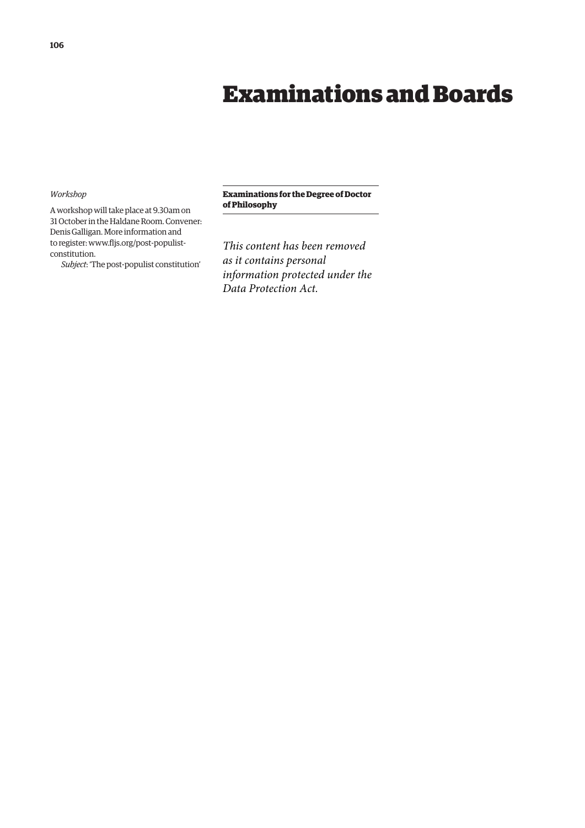# Examinations and Boards

# <span id="page-9-0"></span>*Workshop*

A workshop will take place at 9.30am on 31 October in the Haldane Room. Convener: Denis Galligan. More information and [to register: www.fljs.org/post-populist](www.fljs.org/post-populist-constitution)constitution.

*Subject*: 'The post-populist constitution'

# **Examinations for the Degree of Doctor of Philosophy**

*This content has been removed as it contains personal information protected under the Data Protection Act.*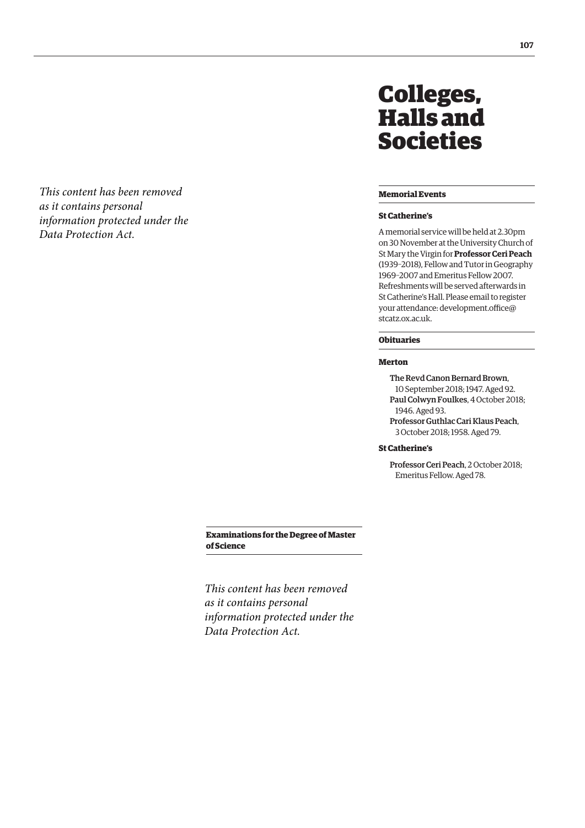<span id="page-10-0"></span>*This content has been removed as it contains personal information protected under the Data Protection Act.*

# Colleges, Halls and Societies

# **Memorial Events**

# **St Catherine's**

A memorial service will be held at 2.30pm on 30 November at the University Church of St Mary the Virgin for **Professor Ceri Peach** (1939–2018), Fellow and Tutor in Geography 1969–2007 and Emeritus Fellow 2007. Refreshments will be served afterwards in St Catherine's Hall. Please email to register [your attendance: development.office@](mailto:development.office@stcatz.ox.ac.uk) stcatz.ox.ac.uk.

# **Obituaries**

# **Merton**

The Revd Canon Bernard Brown, 10 September 2018; 1947. Aged 92. Paul Colwyn Foulkes, 4 October 2018; 1946. Aged 93. Professor Guthlac Cari Klaus Peach,

3 October 2018; 1958. Aged 79.

# **St Catherine's**

Professor Ceri Peach, 2 October 2018; Emeritus Fellow. Aged 78.

**Examinations for the Degree of Master of Science**

*This content has been removed as it contains personal information protected under the Data Protection Act.*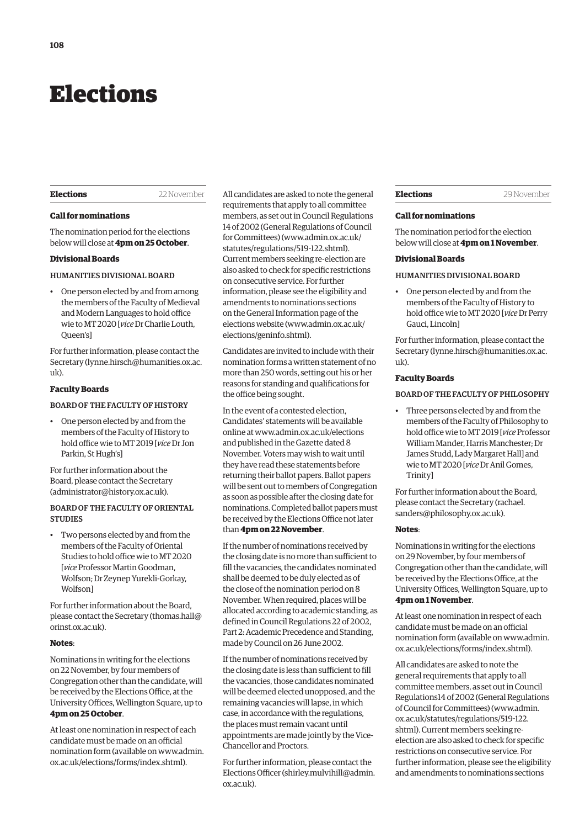# <span id="page-11-0"></span>Elections

#### **Elections** 22 November

#### **Call for nominations**

The nomination period for the elections below will close at **4pm on 25 October**.

# **Divisional Boards**

## HUMANITIES DIVISIONAL BOARD

• One person elected by and from among the members of the Faculty of Medieval and Modern Languages to hold office wie to MT 2020 [*vice* Dr Charlie Louth, Queen's]

For further information, please contact the Secretary [\(lynne.hirsch@humanities.ox.ac.](mailto:lynne.hirsch@humanities.ox.ac.uk) [uk\).](mailto:lynne.hirsch@humanities.ox.ac.uk)

# **Faculty Boards**

# BOARD OF THE FACULTY OF HISTORY

• One person elected by and from the members of the Faculty of History to hold office wie to MT 2019 [*vice* Dr Jon Parkin, St Hugh's]

For further information about the Board, please contact the Secretary ([administrator@history.ox.ac.uk\).](mailto:administrator@history.ox.ac.uk)

# BOARD OF THE FACULTY OF ORIENTAL **STUDIES**

• Two persons elected by and from the members of the Faculty of Oriental Studies to hold office wie to MT 2020 [*vice* Professor Martin Goodman, Wolfson; Dr Zeynep Yurekli-Gorkay, Wolfson]

For further information about the Board, please contact the Secretary [\(thomas.hall@](mailto:thomas.hall@orinst.ox.ac.uk) [orinst.ox.ac.uk\).](mailto:thomas.hall@orinst.ox.ac.uk)

#### **Notes**:

Nominations in writing for the elections on 22 November, by four members of Congregation other than the candidate, will be received by the Elections Office, at the University Offices, Wellington Square, up to **4pm on 25 October**.

At least one nomination in respect of each candidate must be made on an official [nomination form \(available on www.admin.](www.admin.ox.ac.uk/elections/forms/index.shtml) ox.ac.uk/elections/forms/index.shtml).

All candidates are asked to note the general requirements that apply to all committee members, as set out in Council Regulations 14 of 2002 (General Regulations of Council for Committees) [\(www.admin.ox.ac.uk/](http://www.admin.ox.ac.uk/statutes/regulations/519-122.shtml) [statutes/regulations/519-122.shtml\).](http://www.admin.ox.ac.uk/statutes/regulations/519-122.shtml)  Current members seeking re-election are also asked to check for specific restrictions on consecutive service. For further information, please see the eligibility and amendments to nominations sections on the General Information page of the elections website ([www.admin.ox.ac.uk/](http://www.admin.ox.ac.uk/elections/geninfo.shtml) [elections/geninfo.shtml\).](http://www.admin.ox.ac.uk/elections/geninfo.shtml) 

Candidates are invited to include with their nomination forms a written statement of no more than 250 words, setting out his or her reasons for standing and qualifications for the office being sought.

In the event of a contested election, Candidates' statements will be available online at [www.admin.ox.ac.uk/elections](http://www.admin.ox.ac.uk/elections)  and published in the Gazette dated 8 November. Voters may wish to wait until they have read these statements before returning their ballot papers. Ballot papers will be sent out to members of Congregation as soon as possible after the closing date for nominations. Completed ballot papers must be received by the Elections Office not later than **4pm on 22 November**.

If the number of nominations received by the closing date is no more than sufficient to fill the vacancies, the candidates nominated shall be deemed to be duly elected as of the close of the nomination period on 8 November. When required, places will be allocated according to academic standing, as defined in Council Regulations 22 of 2002, Part 2: Academic Precedence and Standing, made by Council on 26 June 2002.

If the number of nominations received by the closing date is less than sufficient to fill the vacancies, those candidates nominated will be deemed elected unopposed, and the remaining vacancies will lapse, in which case, in accordance with the regulations, the places must remain vacant until appointments are made jointly by the Vice-Chancellor and Proctors.

For further information, please contact the Elections Officer ([shirley.mulvihill@admin.](mailto:shirley.mulvihill@admin.ox.ac.uk) [ox.ac.uk\).](mailto:shirley.mulvihill@admin.ox.ac.uk) 

#### **Elections** 29 November

#### **Call for nominations**

The nomination period for the election below will close at **4pm on 1 November**.

#### **Divisional Boards**

## HUMANITIES DIVISIONAL BOARD

• One person elected by and from the members of the Faculty of History to hold office wie to MT 2020 [*vice* Dr Perry Gauci, Lincoln]

For further information, please contact the Secretary ([lynne.hirsch@humanities.ox.ac.](mailto:lynne.hirsch@humanities.ox.ac.uk) [uk\).](mailto:lynne.hirsch@humanities.ox.ac.uk)

# **Faculty Boards**

# BOARD OF THE FACULTY OF PHILOSOPHY

• Three persons elected by and from the members of the Faculty of Philosophy to hold office wie to MT 2019 [*vice* Professor William Mander, Harris Manchester; Dr James Studd, Lady Margaret Hall] and wie to MT 2020 [*vice* Dr Anil Gomes, Trinity]

For further information about the Board, [please contact the Secretary \(rachael.](mailto:rachael.sanders@philosophy.ox.ac.uk) sanders@philosophy.ox.ac.uk).

#### **Notes**:

Nominations in writing for the elections on 29 November, by four members of Congregation other than the candidate, will be received by the Elections Office, at the University Offices, Wellington Square, up to **4pm on 1 November**.

At least one nomination in respect of each candidate must be made on an official [nomination form \(available on www.admin.](www.admin.ox.ac.uk/elections/forms/index.shtml) ox.ac.uk/elections/forms/index.shtml).

All candidates are asked to note the general requirements that apply to all committee members, as set out in Council Regulations14 of 2002 (General Regulations of Council for Committees) ([www.admin.](http://www.admin.ox.ac.uk/statutes/regulations/519-122.shtml) [ox.ac.uk/statutes/regulations/519-122.](http://www.admin.ox.ac.uk/statutes/regulations/519-122.shtml) [shtml\). Cu](http://www.admin.ox.ac.uk/statutes/regulations/519-122.shtml)rrent members seeking reelection are also asked to check for specific restrictions on consecutive service. For further information, please see the eligibility and amendments to nominations sections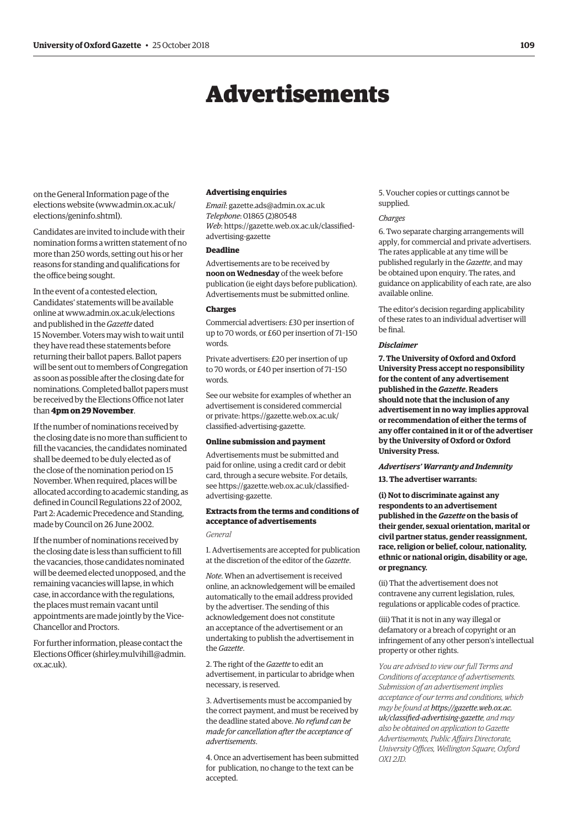# Advertisements

<span id="page-12-0"></span>on the General Information page of the elections website [\(www.admin.ox.ac.uk/](http://www.admin.ox.ac.uk/elections/geninfo.shtml) [elections/geninfo.shtml\).](http://www.admin.ox.ac.uk/elections/geninfo.shtml) 

Candidates are invited to include with their nomination forms a written statement of no more than 250 words, setting out his or her reasons for standing and qualifications for the office being sought.

In the event of a contested election, Candidates' statements will be available online at [www.admin.ox.ac.uk/elections](http://www.admin.ox.ac.uk/elections)  and published in the *Gazette* dated 15 November. Voters may wish to wait until they have read these statements before returning their ballot papers. Ballot papers will be sent out to members of Congregation as soon as possible after the closing date for nominations. Completed ballot papers must be received by the Elections Office not later than **4pm on 29 November**.

If the number of nominations received by the closing date is no more than sufficient to fill the vacancies, the candidates nominated shall be deemed to be duly elected as of the close of the nomination period on 15 November. When required, places will be allocated according to academic standing, as defined in Council Regulations 22 of 2002, Part 2: Academic Precedence and Standing, made by Council on 26 June 2002.

If the number of nominations received by the closing date is less than sufficient to fill the vacancies, those candidates nominated will be deemed elected unopposed, and the remaining vacancies will lapse, in which case, in accordance with the regulations, the places must remain vacant until appointments are made jointly by the Vice-Chancellor and Proctors.

For further information, please contact the Elections Officer [\(shirley.mulvihill@admin.](mailto:shirley.mulvihill@admin.ox.ac.uk) [ox.ac.uk\).](mailto:shirley.mulvihill@admin.ox.ac.uk)

#### **Advertising enquiries**

*Email*: [gazette.ads@admin.ox.ac.uk](mailto:gazette.ads@admin.ox.ac.uk) *Telephone*: 01865 (2)80548 *Web*[: https://gazette.web.ox.ac.uk/classified](https://gazette.web.ox.ac.uk/classified-advertising-gazette)advertising-gazette

# **Deadline**

Advertisements are to be received by **noon on Wednesday** of the week before publication (ie eight days before publication). Advertisements must be submitted online.

#### **Charges**

Commercial advertisers: £30 per insertion of up to 70 words, or £60 per insertion of 71–150 words.

Private advertisers: £20 per insertion of up to 70 words, or £40 per insertion of 71–150 words.

See our website for examples of whether an advertisement is considered commercial [or private: https://gazette.web.ox.ac.uk/](https://gazette.web.ox.ac.uk/classified-advertising-gazette) classified-advertising-gazette.

#### **Online submission and payment**

Advertisements must be submitted and paid for online, using a credit card or debit card, through a secure website. For details, [see https://gazette.web.ox.ac.uk/classified](https://gazette.web.ox.ac.uk/classified-advertising-gazette)advertising-gazette.

# **Extracts from the terms and conditions of acceptance of advertisements**

*General*

1. Advertisements are accepted for publication at the discretion of the editor of the *Gazette*.

*Note*. When an advertisement is received online, an acknowledgement will be emailed automatically to the email address provided by the advertiser. The sending of this acknowledgement does not constitute an acceptance of the advertisement or an undertaking to publish the advertisement in the *Gazette*.

2. The right of the *Gazette* to edit an advertisement, in particular to abridge when necessary, is reserved.

3. Advertisements must be accompanied by the correct payment, and must be received by the deadline stated above. *No refund can be made for cancellation after the acceptance of advertisements*.

4. Once an advertisement has been submitted for publication, no change to the text can be accepted.

5. Voucher copies or cuttings cannot be supplied.

#### *Charges*

6. Two separate charging arrangements will apply, for commercial and private advertisers. The rates applicable at any time will be published regularly in the *Gazette*, and may be obtained upon enquiry. The rates, and guidance on applicability of each rate, are also available online.

The editor's decision regarding applicability of these rates to an individual advertiser will be final.

#### *Disclaimer*

**7. The University of Oxford and Oxford University Press accept no responsibility for the content of any advertisement published in the** *Gazette***. Readers should note that the inclusion of any advertisement in no way implies approval or recommendation of either the terms of any offer contained in it or of the advertiser by the University of Oxford or Oxford University Press.**

# *Advertisers' Warranty and Indemnity*

**13. The advertiser warrants:**

**(i) Not to discriminate against any respondents to an advertisement published in the** *Gazette* **on the basis of their gender, sexual orientation, marital or civil partner status, gender reassignment, race, religion or belief, colour, nationality, ethnic or national origin, disability or age, or pregnancy.**

(ii) That the advertisement does not contravene any current legislation, rules, regulations or applicable codes of practice.

(iii) That it is not in any way illegal or defamatory or a breach of copyright or an infringement of any other person's intellectual property or other rights.

*You are advised to view our full Terms and Conditions of acceptance of advertisements. Submission of an advertisement implies acceptance of our terms and conditions, which may be found at https://gazette.web.ox.ac. [uk/classified-advertising-gazette](https://gazette.web.ox.ac.uk/classified-advertising-gazette), and may also be obtained on application to Gazette Advertisements, Public Affairs Directorate, University Offices, Wellington Square, Oxford OX1 2JD.*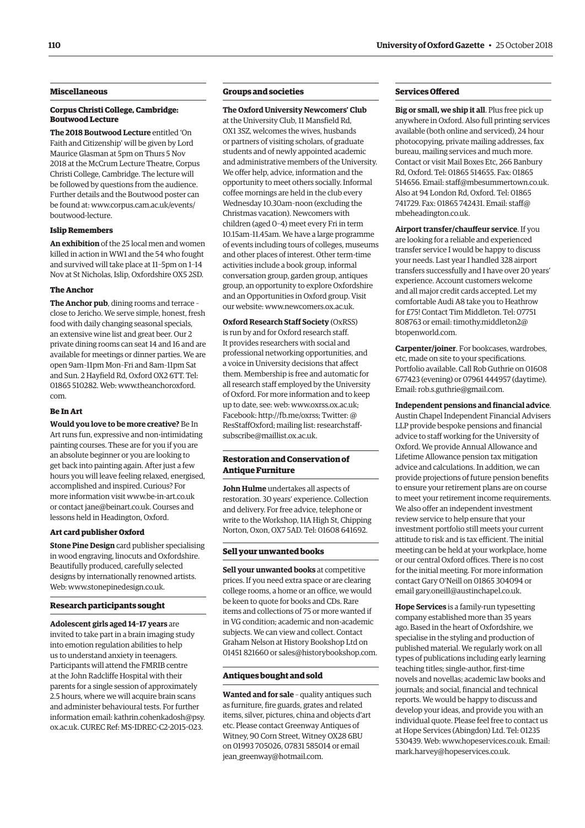# **Miscellaneous**

#### **Corpus Christi College, Cambridge: Boutwood Lecture**

**The 2018 Boutwood Lecture** entitled 'On Faith and Citizenship' will be given by Lord Maurice Glasman at 5pm on Thurs 5 Nov 2018 at the McCrum Lecture Theatre, Corpus Christi College, Cambridge. The lecture will be followed by questions from the audience. Further details and the Boutwood poster can [be found at: www.corpus.cam.ac.uk/events/](www.corpus.cam.ac.uk/events/boutwood-lecture) boutwood-lecture.

## **Islip Remembers**

**An exhibition** of the 25 local men and women killed in action in WW1 and the 54 who fought and survived will take place at 11–5pm on 1–14 Nov at St Nicholas, Islip, Oxfordshire OX5 2SD.

## **The Anchor**

**The Anchor pub**, dining rooms and terrace – close to Jericho. We serve simple, honest, fresh food with daily changing seasonal specials, an extensive wine list and great beer. Our 2 private dining rooms can seat 14 and 16 and are available for meetings or dinner parties. We are open 9am–11pm Mon–Fri and 8am–11pm Sat and Sun. 2 Hayfield Rd, Oxford OX2 6TT. Tel: [01865 510282. Web: www.theanchoroxford.](www.theanchoroxford.com) com.

# **Be In Art**

**Would you love to be more creative?** Be In Art runs fun, expressive and non-intimidating painting courses. These are for you if you are an absolute beginner or you are looking to get back into painting again. After just a few hours you will leave feeling relaxed, energised, accomplished and inspired. Curious? For more information visit [www.be-in-art.co.uk](http://www.be-in-art.co.uk)  or contact [jane@beinart.co.uk. Co](mailto:jane@beinart.co.uk)urses and lessons held in Headington, Oxford.

# **Art card publisher Oxford**

**Stone Pine Design** card publisher specialising in wood engraving, linocuts and Oxfordshire. Beautifully produced, carefully selected designs by internationally renowned artists. Web: [www.stonepinedesign.co.uk.](http://www.stonepinedesign.co.uk)

#### **Research participants sought**

**Adolescent girls aged 14–17 years** are invited to take part in a brain imaging study into emotion regulation abilities to help us to understand anxiety in teenagers. Participants will attend the FMRIB centre at the John Radcliffe Hospital with their parents for a single session of approximately 2.5 hours, where we will acquire brain scans and administer behavioural tests. For further [information email: kathrin.cohenkadosh@psy.](mailto:kathrin.cohenkadosh@psy.ox.ac.uk) ox.ac.uk. CUREC Ref: MS-IDREC-C2-2015-023.

# **Groups and societies**

# **The Oxford University Newcomers' Club**

at the University Club, 11 Mansfield Rd, OX1 3SZ, welcomes the wives, husbands or partners of visiting scholars, of graduate students and of newly appointed academic and administrative members of the University. We offer help, advice, information and the opportunity to meet others socially. Informal coffee mornings are held in the club every Wednesday 10.30am–noon (excluding the Christmas vacation). Newcomers with children (aged 0–4) meet every Fri in term 10.15am–11.45am. We have a large programme of events including tours of colleges, museums and other places of interest. Other term-time activities include a book group, informal conversation group, garden group, antiques group, an opportunity to explore Oxfordshire and an Opportunities in Oxford group. Visit our website: [www.newcomers.ox.ac.uk.](http://www.newcomers.ox.ac.uk) 

**Oxford Research Staff Society** (OxRSS) is run by and for Oxford research staff. It provides researchers with social and professional networking opportunities, and a voice in University decisions that affect them. Membership is free and automatic for all research staff employed by the University of Oxford. For more information and to keep up to date, see: web: [www.oxrss.ox.ac.uk;](http://www.oxrss.ox.ac.uk)  Facebook: [http://fb.me/oxrss; Tw](http://fb.me/oxrss)itter: @ [ResStaffOxford; mailing list: researchstaff](mailto:researchstaff-subscribe@maillist.ox.ac.uk)subscribe@maillist.ox.ac.uk.

# **Restoration and Conservation of Antique Furniture**

**John Hulme** undertakes all aspects of restoration. 30 years' experience. Collection and delivery. For free advice, telephone or write to the Workshop, 11A High St, Chipping Norton, Oxon, OX7 5AD. Tel: 01608 641692.

#### **Sell your unwanted books**

**Sell your unwanted books** at competitive prices. If you need extra space or are clearing college rooms, a home or an office, we would be keen to quote for books and CDs. Rare items and collections of 75 or more wanted if in VG condition; academic and non-academic subjects. We can view and collect. Contact Graham Nelson at History Bookshop Ltd on 01451 821660 or [sales@historybookshop.com.](mailto:sales@historybookshop.com)

#### **Antiques bought and sold**

**Wanted and for sale** – quality antiques such as furniture, fire guards, grates and related items, silver, pictures, china and objects d'art etc. Please contact Greenway Antiques of Witney, 90 Corn Street, Witney OX28 6BU on 01993 705026, 07831 585014 or email [jean\\_greenway@hotmail.com.](mailto:jean_greenway@hotmail.com)

## **Services Offered**

**Big or small, we ship it all**. Plus free pick up anywhere in Oxford. Also full printing services available (both online and serviced), 24 hour photocopying, private mailing addresses, fax bureau, mailing services and much more. Contact or visit Mail Boxes Etc, 266 Banbury Rd, Oxford. Tel: 01865 514655. Fax: 01865 514656. Email: [staff@mbesummertown.co.uk.](mailto:staff@mbesummertown.co.uk)  Also at 94 London Rd, Oxford. Tel: 01865 [741729. Fax: 01865 742431. Email: staff@](mailto:staff@mbeheadington.co.uk) mbeheadington.co.uk.

**Airport transfer/chauffeur service**. If you are looking for a reliable and experienced transfer service I would be happy to discuss your needs. Last year I handled 328 airport transfers successfully and I have over 20 years' experience. Account customers welcome and all major credit cards accepted. Let my comfortable Audi A8 take you to Heathrow for £75! Contact Tim Middleton. Tel: 07751 [808763 or email: timothy.middleton2@](mailto:timothy.middleton2@btopenworld.com) btopenworld.com.

**Carpenter/joiner**. For bookcases, wardrobes, etc, made on site to your specifications. Portfolio available. Call Rob Guthrie on 01608 677423 (evening) or 07961 444957 (daytime). Email: [rob.s.guthrie@gmail.com.](mailto:rob.s.guthrie@gmail.com) 

**Independent pensions and financial advice**. Austin Chapel Independent Financial Advisers LLP provide bespoke pensions and financial advice to staff working for the University of Oxford. We provide Annual Allowance and Lifetime Allowance pension tax mitigation advice and calculations. In addition, we can provide projections of future pension benefits to ensure your retirement plans are on course to meet your retirement income requirements. We also offer an independent investment review service to help ensure that your investment portfolio still meets your current attitude to risk and is tax efficient. The initial meeting can be held at your workplace, home or our central Oxford offices. There is no cost for the initial meeting. For more information contact Gary O'Neill on 01865 304094 or email [gary.oneill@austinchapel.co.uk.](mailto:gary.oneill@austinchapel.co.uk)

**Hope Services** is a family-run typesetting company established more than 35 years ago. Based in the heart of Oxfordshire, we specialise in the styling and production of published material. We regularly work on all types of publications including early learning teaching titles; single-author, first-time novels and novellas; academic law books and journals; and social, financial and technical reports. We would be happy to discuss and develop your ideas, and provide you with an individual quote. Please feel free to contact us at Hope Services (Abingdon) Ltd. Tel: 01235 530439. Web: [www.hopeservices.co.uk. Em](http://www.hopeservices.co.uk)ail: [mark.harvey@hopeservices.co.uk.](mailto:mark.harvey@hopeservices.co.uk)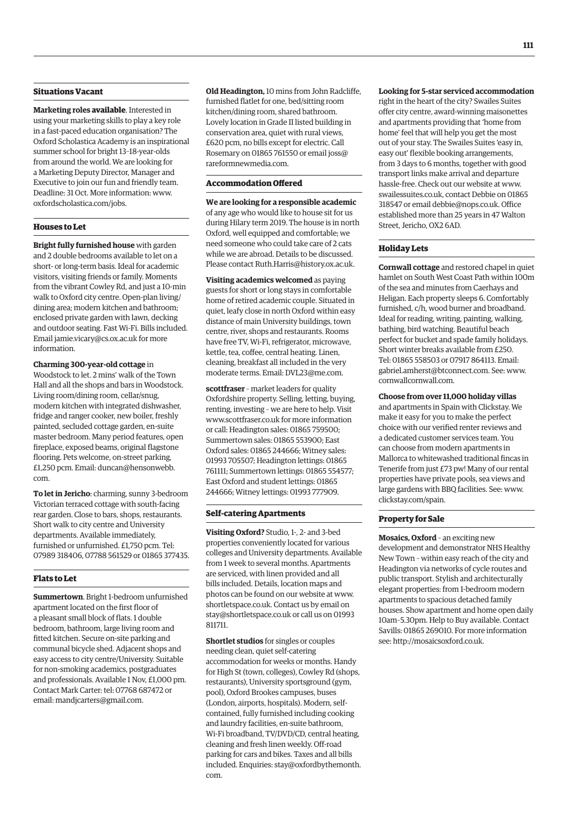# **Situations Vacant**

**Marketing roles available**. Interested in using your marketing skills to play a key role in a fast-paced education organisation? The Oxford Scholastica Academy is an inspirational summer school for bright 13–18-year-olds from around the world. We are looking for a Marketing Deputy Director, Manager and Executive to join our fun and friendly team. Deadline: 31 Oct. More information: [www.](http://www.oxfordscholastica.com/jobs) [oxfordscholastica.com/jobs.](http://www.oxfordscholastica.com/jobs)

# **Houses to Let**

**Bright fully furnished house** with garden and 2 double bedrooms available to let on a short- or long-term basis. Ideal for academic visitors, visiting friends or family. Moments from the vibrant Cowley Rd, and just a 10-min walk to Oxford city centre. Open-plan living/ dining area; modern kitchen and bathroom; enclosed private garden with lawn, decking and outdoor seating. Fast Wi-Fi. Bills included. Email [jamie.vicary@cs.ox.ac.uk fo](mailto:jamie.vicary@cs.ox.ac.uk)r more information.

**Charming 300-year-old cottage** in Woodstock to let. 2 mins' walk of the Town Hall and all the shops and bars in Woodstock. Living room/dining room, cellar/snug, modern kitchen with integrated dishwasher, fridge and ranger cooker, new boiler, freshly painted, secluded cottage garden, en-suite master bedroom. Many period features, open fireplace, exposed beams, original flagstone flooring. Pets welcome, on-street parking, [£1,250 pcm. Email: duncan@hensonwebb.](mailto:duncan@hensonwebb.com) com.

**To let in Jericho**: charming, sunny 3-bedroom Victorian terraced cottage with south-facing rear garden. Close to bars, shops, restaurants. Short walk to city centre and University departments. Available immediately, furnished or unfurnished. £1,750 pcm. Tel: 07989 318406, 07788 561529 or 01865 377435.

# **Flats to Let**

**Summertown**. Bright 1-bedroom unfurnished apartment located on the first floor of a pleasant small block of flats. 1 double bedroom, bathroom, large living room and fitted kitchen. Secure on-site parking and communal bicycle shed. Adjacent shops and easy access to city centre/University. Suitable for non-smoking academics, postgraduates and professionals. Available 1 Nov, £1,000 pm. Contact Mark Carter: tel: 07768 687472 or email: [mandjcarters@gmail.com.](mailto:mandjcarters@gmail.com)

**Old Headington,** 10 mins from John Radcliffe, furnished flatlet for one, bed/sitting room kitchen/dining room, shared bathroom. Lovely location in Grade II listed building in conservation area, quiet with rural views, £620 pcm, no bills except for electric. Call [Rosemary on 01865 761550 or email joss@](mailto:joss@rareformnewmedia.com) rareformnewmedia.com.

# **Accommodation Offered**

**We are looking for a responsible academic**  of any age who would like to house sit for us during Hilary term 2019. The house is in north Oxford, well equipped and comfortable; we need someone who could take care of 2 cats while we are abroad. Details to be discussed. Please contact [Ruth.Harris@history.ox.ac.uk.](mailto:Ruth.Harris@history.ox.ac.uk)

**Visiting academics welcomed** as paying guests for short or long stays in comfortable home of retired academic couple. Situated in quiet, leafy close in north Oxford within easy distance of main University buildings, town centre, river, shops and restaurants. Rooms have free TV, Wi-Fi, refrigerator, microwave, kettle, tea, coffee, central heating. Linen, cleaning, breakfast all included in the very moderate terms. Email: [DVL23@me.com.](mailto:DVL23@me.com)

**scottfraser** – market leaders for quality Oxfordshire property. Selling, letting, buying, renting, investing – we are here to help. Visit [www.scottfraser.co.uk fo](http://www.scottfraser.co.uk)r more information or call: Headington sales: 01865 759500; Summertown sales: 01865 553900; East Oxford sales: 01865 244666; Witney sales: 01993 705507; Headington lettings: 01865 761111; Summertown lettings: 01865 554577; East Oxford and student lettings: 01865 244666; Witney lettings: 01993 777909.

# **Self-catering Apartments**

**Visiting Oxford?** Studio, 1-, 2- and 3-bed properties conveniently located for various colleges and University departments. Available from 1 week to several months. Apartments are serviced, with linen provided and all bills included. Details, location maps and photos can be found on our website at [www.](http://www.shortletspace.co.uk) [shortletspace.co.uk. Co](http://www.shortletspace.co.uk)ntact us by email on [stay@shortletspace.co.uk or](mailto:stay@shortletspace.co.uk) call us on 01993 811711.

**Shortlet studios** for singles or couples needing clean, quiet self-catering accommodation for weeks or months. Handy for High St (town, colleges), Cowley Rd (shops, restaurants), University sportsground (gym, pool), Oxford Brookes campuses, buses (London, airports, hospitals). Modern, selfcontained, fully furnished including cooking and laundry facilities, en-suite bathroom, Wi-Fi broadband, TV/DVD/CD, central heating, cleaning and fresh linen weekly. Off-road parking for cars and bikes. Taxes and all bills [included. Enquiries: stay@oxfordbythemonth.](mailto:stay@oxfordbythemonth.com) com.

# **Looking for 5-star serviced accommodation**

right in the heart of the city? Swailes Suites offer city centre, award-winning maisonettes and apartments providing that 'home from home' feel that will help you get the most out of your stay. The Swailes Suites 'easy in, easy out' flexible booking arrangements, from 3 days to 6 months, together with good transport links make arrival and departure hassle-free. Check out our website at [www.](http://www.swailessuites.co.uk) [swailessuites.co.uk, co](http://www.swailessuites.co.uk)ntact Debbie on 01865 318547 or email [debbie@nops.co.uk. Of](mailto:debbie@nops.co.uk)fice established more than 25 years in 47 Walton Street, Jericho, OX2 6AD.

#### **Holiday Lets**

**Cornwall cottage** and restored chapel in quiet hamlet on South West Coast Path within 100m of the sea and minutes from Caerhays and Heligan. Each property sleeps 6. Comfortably furnished, c/h, wood burner and broadband. Ideal for reading, writing, painting, walking, bathing, bird watching. Beautiful beach perfect for bucket and spade family holidays. Short winter breaks available from £250. Tel: 01865 558503 or 07917 864113. Email: [gabriel.amherst@btconnect.com. Se](mailto:gabriel.amherst@btconnect.com)e: [www.](http://www.cornwallcornwall.com) [cornwallcornwall.com.](http://www.cornwallcornwall.com)

#### **Choose from over 11,000 holiday villas**

and apartments in Spain with Clickstay. We make it easy for you to make the perfect choice with our verified renter reviews and a dedicated customer services team. You can choose from modern apartments in Mallorca to whitewashed traditional fincas in Tenerife from just £73 pw! Many of our rental properties have private pools, sea views and large gardens with BBQ facilities. See: [www.](http://www.clickstay.com/spain) [clickstay.com/spain.](http://www.clickstay.com/spain)

#### **Property for Sale**

**Mosaics, Oxford** – an exciting new development and demonstrator NHS Healthy New Town – within easy reach of the city and Headington via networks of cycle routes and public transport. Stylish and architecturally elegant properties: from 1-bedroom modern apartments to spacious detached family houses. Show apartment and home open daily 10am–5.30pm. Help to Buy available. Contact Savills: 01865 269010. For more information see: [http://mosaicsoxford.co.uk.](http://mosaicsoxford.co.uk)